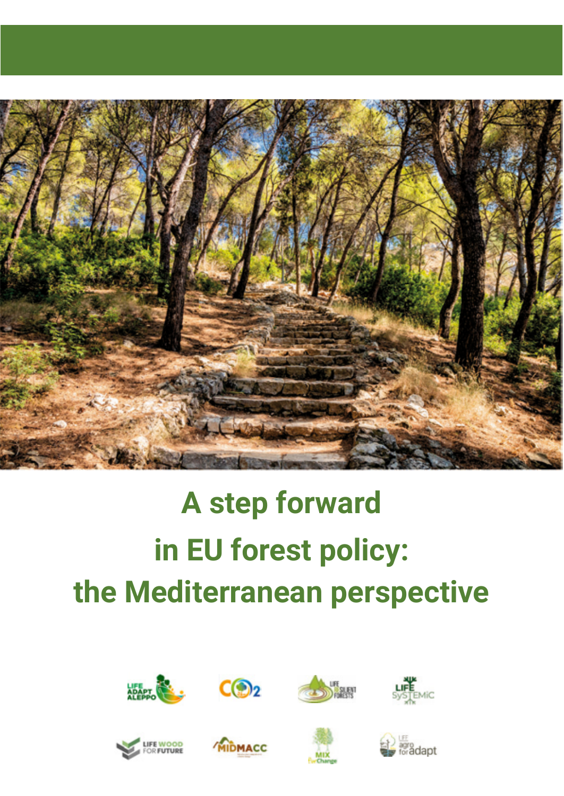

# **A step forward in EU forest policy: the Mediterranean perspective**















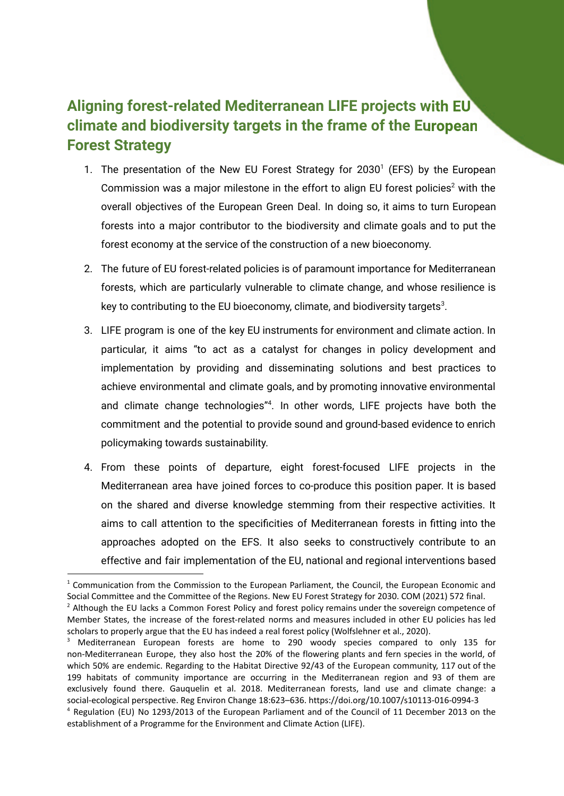## **Aligning forest-related Mediterranean LIFE projects with EU climate and biodiversity targets in the frame of the European Forest Strategy**

- 1. The presentation of the New EU Forest Strategy for  $2030<sup>1</sup>$  (EFS) by the European Commission was a major milestone in the effort to align EU forest policies<sup>2</sup> with the overall objectives of the European Green Deal. In doing so, it aims to turn European forests into a major contributor to the biodiversity and climate goals and to put the forest economy at the service of the construction of a new bioeconomy.
- 2. The future of EU forest-related policies is of paramount importance for Mediterranean forests, which are particularly vulnerable to climate change, and whose resilience is key to contributing to the EU bioeconomy, climate, and biodiversity targets $^3$ .
- 3. LIFE program is one of the key EU instruments for environment and climate action. In particular, it aims "to act as a catalyst for changes in policy development and implementation by providing and disseminating solutions and best practices to achieve environmental and climate goals, and by promoting innovative environmental and climate change technologies"<sup>4</sup>. In other words, LIFE projects have both the commitment and the potential to provide sound and ground-based evidence to enrich policymaking towards sustainability.
- 4. From these points of departure, eight forest-focused LIFE projects in the Mediterranean area have joined forces to co-produce this position paper. It is based on the shared and diverse knowledge stemming from their respective activities. It aims to call attention to the specificities of Mediterranean forests in fitting into the approaches adopted on the EFS. It also seeks to constructively contribute to an effective and fair implementation of the EU, national and regional interventions based

 $1$  Communication from the Commission to the European Parliament, the Council, the European Economic and Social Committee and the Committee of the Regions. New EU Forest Strategy for 2030. COM (2021) 572 final.

 $<sup>2</sup>$  Although the EU lacks a Common Forest Policy and forest policy remains under the sovereign competence of</sup> Member States, the increase of the forest-related norms and measures included in other EU policies has led scholars to properly argue that the EU has indeed a real forest policy (Wolfslehner et al., 2020).

<sup>&</sup>lt;sup>3</sup> Mediterranean European forests are home to 290 woody species compared to only 135 for non-Mediterranean Europe, they also host the 20% of the flowering plants and fern species in the world, of which 50% are endemic. Regarding to the Habitat Directive 92/43 of the European community, 117 out of the 199 habitats of community importance are occurring in the Mediterranean region and 93 of them are exclusively found there. Gauquelin et al. 2018. Mediterranean forests, land use and climate change: a social-ecological perspective. Reg Environ Change 18:623–636. https://doi.org/10.1007/s10113-016-0994-3

<sup>4</sup> Regulation (EU) No 1293/2013 of the European Parliament and of the Council of 11 December 2013 on the establishment of a Programme for the Environment and Climate Action (LIFE).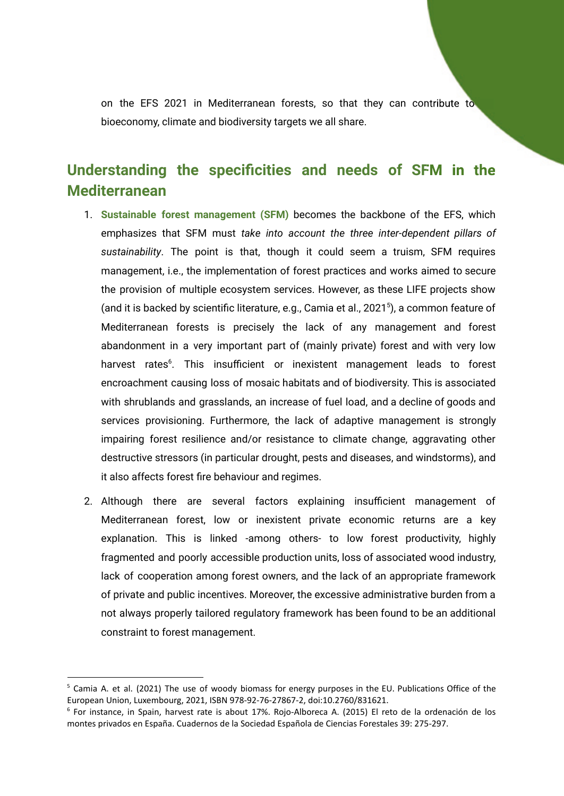on the EFS 2021 in Mediterranean forests, so that they can contribute to bioeconomy, climate and biodiversity targets we all share.

## **Understanding the specificities and needs of SFM in the cities Mediterranean**

- 1. **Sustainable forest management (SFM)** becomes the backbone of the EFS, which emphasizes that SFM must *take into account the three inter-dependent pillars of sustainability*. The point is that, though it could seem a truism, SFM requires management, i.e., the implementation of forest practices and works aimed to secure the provision of multiple ecosystem services. However, as these LIFE projects show (and it is backed by scientific literature, e.g., Camia et al., 2021<sup>5</sup>), a common feature of Mediterranean forests is precisely the lack of any management and forest abandonment in a very important part of (mainly private) forest and with very low harvest rates<sup>6</sup>. This insufficient or inexistent management leads to forest encroachment causing loss of mosaic habitats and of biodiversity. This is associated with shrublands and grasslands, an increase of fuel load, and a decline of goods and services provisioning. Furthermore, the lack of adaptive management is strongly impairing forest resilience and/or resistance to climate change, aggravating other destructive stressors (in particular drought, pests and diseases, and windstorms), and it also affects forest fire behaviour and regimes.
- 2. Although there are several factors explaining insufficient management of Mediterranean forest, low or inexistent private economic returns are a key explanation. This is linked -among others- to low forest productivity, highly fragmented and poorly accessible production units, loss of associated wood industry, lack of cooperation among forest owners, and the lack of an appropriate framework of private and public incentives. Moreover, the excessive administrative burden from a not always properly tailored regulatory framework has been found to be an additional constraint to forest management.

 $5$  Camia A. et al. (2021) The use of woody biomass for energy purposes in the EU. Publications Office of the European Union, Luxembourg, 2021, ISBN 978-92-76-27867-2, doi:10.2760/831621.

<sup>6</sup> For instance, in Spain, harvest rate is about 17%. Rojo-Alboreca A. (2015) El reto de la ordenación de los montes privados en España. Cuadernos de la Sociedad Española de Ciencias Forestales 39: 275-297.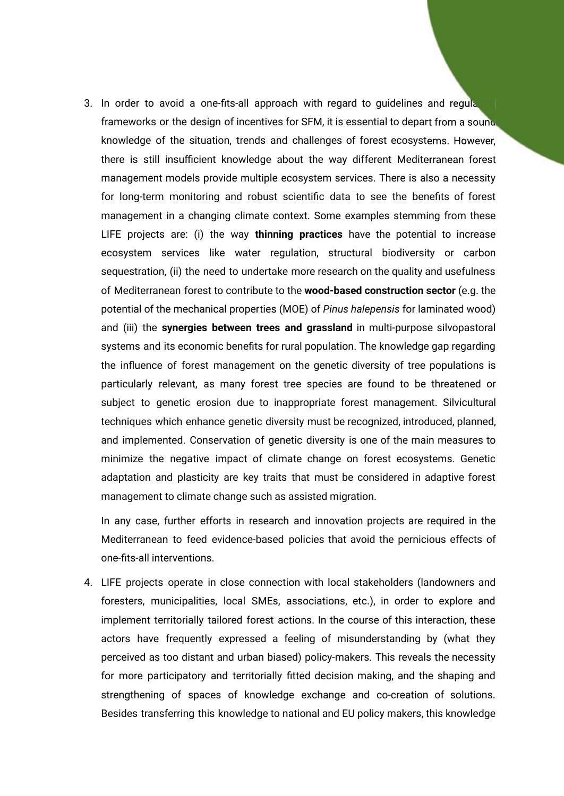3. In order to avoid a one-fits-all approach with regard to quidelines and regula frameworks or the design of incentives for SFM, it is essential to depart from a sound. knowledge of the situation, trends and challenges of forest ecosystems. However, In order to avoid a one-fits-all approach with regard to guidelines and regula<br>frameworks or the design of incentives for SFM, it is essential to depart from a sound<br>knowledge of the situation, trends and challenges of for management models provide multiple ecosystem services. There is also a necessity for long-term monitoring and robust scientific data to see the benefits of forest management in a changing climate context. Some examples stemming from these LIFE projects are: (i) the way **thinning practices** have the potential to increase ecosystem services like water regulation, structural biodiversity or carbon sequestration, (ii) the need to undertake more research on the quality and usefulness of Mediterranean forest to contribute to the **wood-based construction sector** (e.g. the potential of the mechanical properties (MOE) of *Pinus halepensis* for laminated wood) and (iii) the **synergies between trees and grassland** in multi-purpose silvopastoral systems and its economic benefits for rural population. The knowledge gap regarding the influence of forest management on the genetic diversity of tree populations is particularly relevant, as many forest tree species are found to be threatened or subject to genetic erosion due to inappropriate forest management. Silvicultural techniques which enhance genetic diversity must be recognized, introduced, planned, and implemented. Conservation of genetic diversity is one of the main measures to minimize the negative impact of climate change on forest ecosystems. Genetic adaptation and plasticity are key traits that must be considered in adaptive forest management to climate change such as assisted migration.

In any case, further efforts in research and innovation projects are required in the Mediterranean to feed evidence-based policies that avoid the pernicious effects of one-fits-all interventions.

4. LIFE projects operate in close connection with local stakeholders (landowners and foresters, municipalities, local SMEs, associations, etc.), in order to explore and implement territorially tailored forest actions. In the course of this interaction, these actors have frequently expressed a feeling of misunderstanding by (what they perceived as too distant and urban biased) policy-makers. This reveals the necessity for more participatory and territorially fitted decision making, and the shaping and strengthening of spaces of knowledge exchange and co-creation of solutions. Besides transferring this knowledge to national and EU policy makers, this knowledge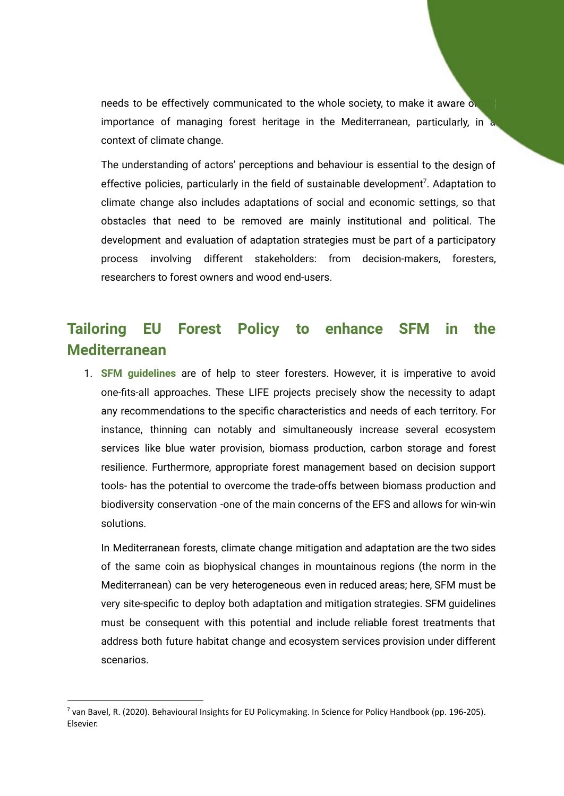needs to be effectively communicated to the whole society, to make it aware  $\circ$ . importance of managing forest heritage in the Mediterranean, particularly, in a context of climate change.

The understanding of actors' perceptions and behaviour is essential to the design of effective policies, particularly in the field of sustainable development<sup>7</sup>. Adaptation to climate change also includes adaptations of social and economic settings, so that obstacles that need to be removed are mainly institutional and political. The development and evaluation of adaptation strategies must be part of a participatory process involving different stakeholders: from decision-makers, foresters, researchers to forest owners and wood end-users.

#### **Tailoring EU Forest Policy to enhance SFM in the Mediterranean**

1. **SFM guidelines** are of help to steer foresters. However, it is imperative to avoid one-fits-all approaches. These LIFE projects precisely show the necessity to adapt any recommendations to the specific characteristics and needs of each territory. For instance, thinning can notably and simultaneously increase several ecosystem services like blue water provision, biomass production, carbon storage and forest resilience. Furthermore, appropriate forest management based on decision support tools- has the potential to overcome the trade-offs between biomass production and biodiversity conservation -one of the main concerns of the EFS and allows for win-win solutions.

In Mediterranean forests, climate change mitigation and adaptation are the two sides of the same coin as biophysical changes in mountainous regions (the norm in the Mediterranean) can be very heterogeneous even in reduced areas; here, SFM must be very site-specific to deploy both adaptation and mitigation strategies. SFM guidelines must be consequent with this potential and include reliable forest treatments that address both future habitat change and ecosystem services provision under different scenarios.

 $^7$  van Bavel, R. (2020). Behavioural Insights for EU Policymaking. In Science for Policy Handbook (pp. 196-205). Elsevier.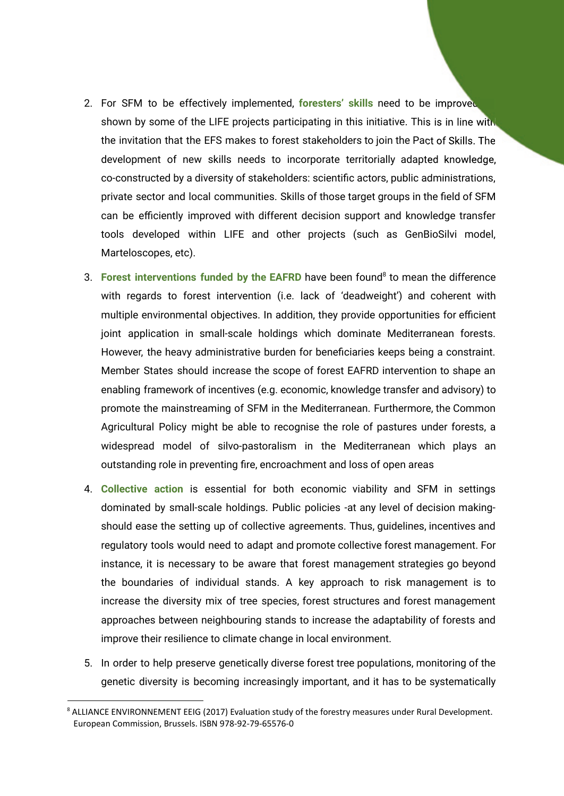- 2. For SFM to be effectively implemented, **foresters' skills** need to be improved shown by some of the LIFE projects participating in this initiative. This is in line with the invitation that the EFS makes to forest stakeholders to join the Pact of Skills. The development of new skills needs to incorporate territorially adapted knowledge, co-constructed by a diversity of stakeholders: scientific actors, public administrations, private sector and local communities. Skills of those target groups in the field of SFM can be efficiently improved with different decision support and knowledge transfer tools developed within LIFE and other projects (such as GenBioSilvi model, Marteloscopes, etc).
- 3. **Forest interventions funded by the EAFRD** have been found<sup>8</sup> to mean the difference with regards to forest intervention (i.e. lack of 'deadweight') and coherent with multiple environmental objectives. In addition, they provide opportunities for efficient joint application in small-scale holdings which dominate Mediterranean forests. However, the heavy administrative burden for beneficiaries keeps being a constraint. Member States should increase the scope of forest EAFRD intervention to shape an enabling framework of incentives (e.g. economic, knowledge transfer and advisory) to promote the mainstreaming of SFM in the Mediterranean. Furthermore, the Common Agricultural Policy might be able to recognise the role of pastures under forests, a widespread model of silvo-pastoralism in the Mediterranean which plays an outstanding role in preventing fire, encroachment and loss of open areas
- 4. **Collective action** is essential for both economic viability and SFM in settings dominated by small-scale holdings. Public policies -at any level of decision makingshould ease the setting up of collective agreements. Thus, guidelines, incentives and regulatory tools would need to adapt and promote collective forest management. For instance, it is necessary to be aware that forest management strategies go beyond the boundaries of individual stands. A key approach to risk management is to increase the diversity mix of tree species, forest structures and forest management approaches between neighbouring stands to increase the adaptability of forests and improve their resilience to climate change in local environment.
- 5. In order to help preserve genetically diverse forest tree populations, monitoring of the genetic diversity is becoming increasingly important, and it has to be systematically

<sup>&</sup>lt;sup>8</sup> ALLIANCE ENVIRONNEMENT EEIG (2017) Evaluation study of the forestry measures under Rural Development. European Commission, Brussels. ISBN 978-92-79-65576-0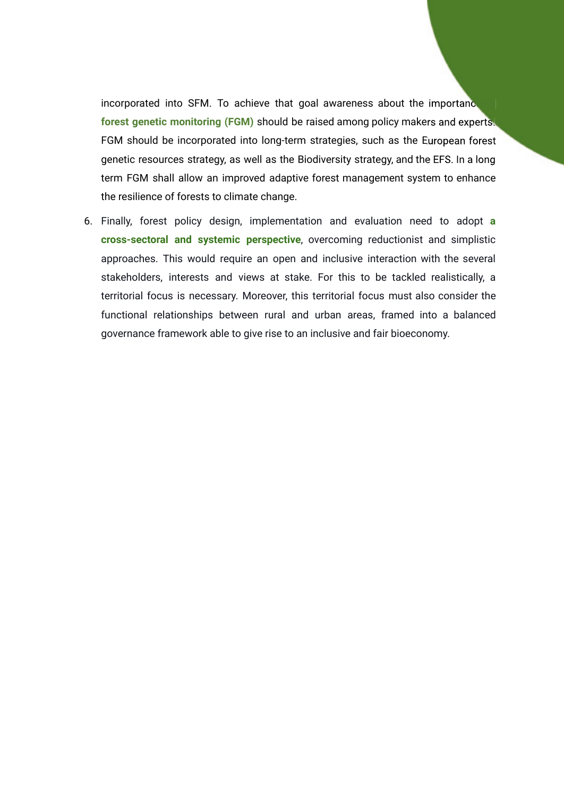incorporated into SFM. To achieve that goal awareness about the importance **forest genetic monitoring (FGM)** should be raised among policy makers and experts. FGM should be incorporated into long-term strategies, such as the European forest genetic resources strategy, as well as the Biodiversity strategy, and the EFS. In a long term FGM shall allow an improved adaptive forest management system to enhance the resilience of forests to climate change.

6. Finally, forest policy design, implementation and evaluation need to adopt **a cross-sectoral and systemic perspective**, overcoming reductionist and simplistic approaches. This would require an open and inclusive interaction with the several stakeholders, interests and views at stake. For this to be tackled realistically, a territorial focus is necessary. Moreover, this territorial focus must also consider the functional relationships between rural and urban areas, framed into a balanced governance framework able to give rise to an inclusive and fair bioeconomy.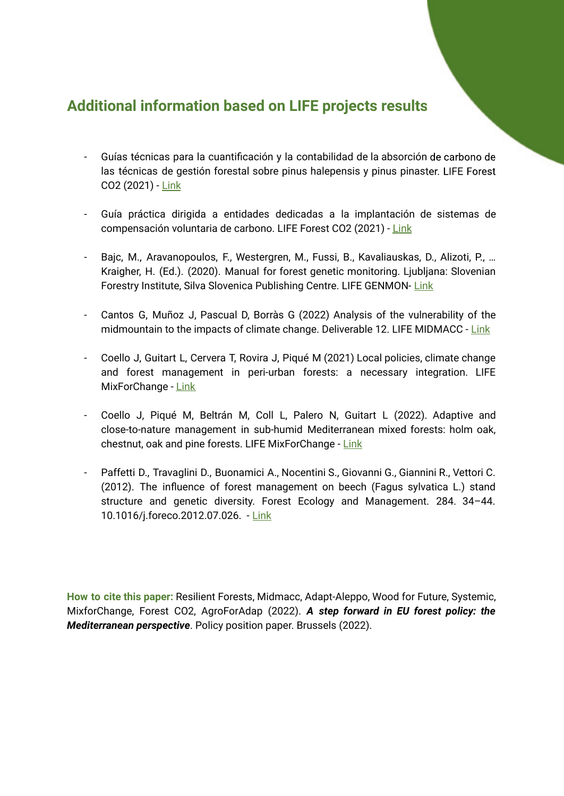#### **Additional information based on LIFE projects results**

- Guías técnicas para la cuantificación y la contabilidad de la absorción de carbono de cación las técnicas de gestión forestal sobre pinus halepensis y pinus pinaster. LIFE Forest CO2 (2021) - [Link](http://lifeforestco2.eu/wp-content/uploads/2021/01/LIFE_FOREST_CO2_GUIAS_TECNICAS_web.pdf)
- Guía práctica dirigida a entidades dedicadas a la implantación de sistemas de compensación voluntaria de carbono. LIFE Forest CO2 (2021) - [Link](http://lifeforestco2.eu/wp-content/uploads/2021/01/LIFE_FOREST_CO2_GUIAS_ENTIDADES_web.pdf)
- Bajc, M., Aravanopoulos, F., Westergren, M., Fussi, B., Kavaliauskas, D., Alizoti, P., … Kraigher, H. (Ed.). (2020). Manual for forest genetic monitoring. Ljubljana: Slovenian Forestry Institute, Silva Slovenica Publishing Centre. LIFE GENMON- [Link](https://dirros.openscience.si/Dokument.php?id=17028&lang=slv)
- Cantos G, Muñoz J, Pascual D, Borràs G (2022) Analysis of the vulnerability of the midmountain to the impacts of climate change. Deliverable 12. LIFE MIDMACC - [Link](https://life-midmacc.eu/wp-content/uploads/2022/05/Analisis-Vulnerabilidad_MediaMont_v4.pdf)
- Coello J, Guitart L, Cervera T, Rovira J, Piqué M (2021) Local policies, climate change and forest management in peri-urban forests: a necessary integration. LIFE MixForChange - [Link](http://www.mixforchange.eu/en/publications/)
- Coello J, Piqué M, Beltrán M, Coll L, Palero N, Guitart L (2022). Adaptive and close-to-nature management in sub-humid Mediterranean mixed forests: holm oak, chestnut, oak and pine forests. LIFE MixForChange - [Link](http://www.mixforchange.eu/en/publications/)
- Paffetti D., Travaglini D., Buonamici A., Nocentini S., Giovanni G., Giannini R., Vettori C. (2012). The influence of forest management on beech (Fagus sylvatica L.) stand structure and genetic diversity. Forest Ecology and Management. 284. 34–44. 10.1016/j.foreco.2012.07.026. - [Link](https://www.researchgate.net/publication/257197896_The_influence_of_forest_management_on_beech_Fagus_sylvatica_L_stand_structure_and_genetic_diversity)

**How to cite this paper:** Resilient Forests, Midmacc, Adapt-Aleppo, Wood for Future, Systemic, MixforChange, Forest CO2, AgroForAdap (2022). *A step forward in EU forest policy: the Mediterranean perspective*. Policy position paper. Brussels (2022).